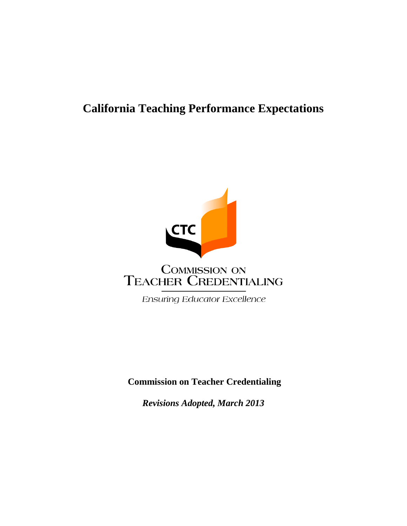# **California Teaching Performance Expectations**



**Commission on Teacher Credentialing**

*Revisions Adopted, March 2013*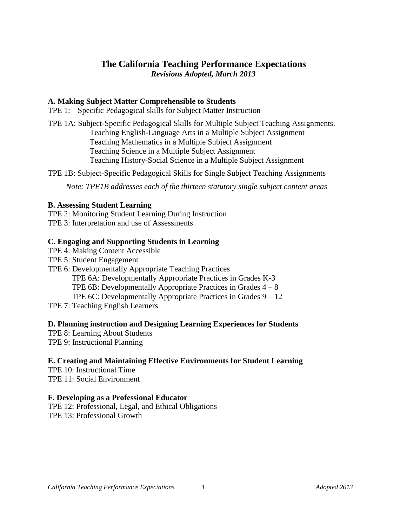# **The California Teaching Performance Expectations** *Revisions Adopted, March 2013*

# **A. Making Subject Matter Comprehensible to Students**

TPE 1: Specific Pedagogical skills for Subject Matter Instruction

TPE 1A: Subject-Specific Pedagogical Skills for Multiple Subject Teaching Assignments. Teaching English-Language Arts in a Multiple Subject Assignment Teaching Mathematics in a Multiple Subject Assignment Teaching Science in a Multiple Subject Assignment Teaching History-Social Science in a Multiple Subject Assignment

TPE 1B: Subject-Specific Pedagogical Skills for Single Subject Teaching Assignments

*Note: TPE1B addresses each of the thirteen statutory single subject content areas*

# **B. Assessing Student Learning**

TPE 2: Monitoring Student Learning During Instruction TPE 3: Interpretation and use of Assessments

# **C. Engaging and Supporting Students in Learning**

- TPE 4: Making Content Accessible
- TPE 5: Student Engagement
- TPE 6: Developmentally Appropriate Teaching Practices
	- TPE 6A: Developmentally Appropriate Practices in Grades K-3

TPE  $6B$ : Developmentally Appropriate Practices in Grades  $4 - 8$ 

- TPE 6C: Developmentally Appropriate Practices in Grades 9 12
- TPE 7: Teaching English Learners

# **D. Planning instruction and Designing Learning Experiences for Students**

- TPE 8: Learning About Students
- TPE 9: Instructional Planning

# **E. Creating and Maintaining Effective Environments for Student Learning**

TPE 10: Instructional Time TPE 11: Social Environment

# **F. Developing as a Professional Educator**

TPE 12: Professional, Legal, and Ethical Obligations TPE 13: Professional Growth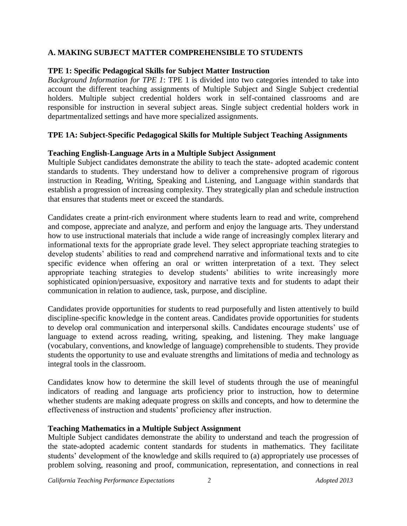# **A. MAKING SUBJECT MATTER COMPREHENSIBLE TO STUDENTS**

# **TPE 1: Specific Pedagogical Skills for Subject Matter Instruction**

*Background Information for TPE 1*: TPE 1 is divided into two categories intended to take into account the different teaching assignments of Multiple Subject and Single Subject credential holders. Multiple subject credential holders work in self-contained classrooms and are responsible for instruction in several subject areas. Single subject credential holders work in departmentalized settings and have more specialized assignments.

# **TPE 1A: Subject-Specific Pedagogical Skills for Multiple Subject Teaching Assignments**

# **Teaching English-Language Arts in a Multiple Subject Assignment**

Multiple Subject candidates demonstrate the ability to teach the state- adopted academic content standards to students. They understand how to deliver a comprehensive program of rigorous instruction in Reading, Writing, Speaking and Listening, and Language within standards that establish a progression of increasing complexity. They strategically plan and schedule instruction that ensures that students meet or exceed the standards.

Candidates create a print-rich environment where students learn to read and write, comprehend and compose, appreciate and analyze, and perform and enjoy the language arts. They understand how to use instructional materials that include a wide range of increasingly complex literary and informational texts for the appropriate grade level. They select appropriate teaching strategies to develop students' abilities to read and comprehend narrative and informational texts and to cite specific evidence when offering an oral or written interpretation of a text. They select appropriate teaching strategies to develop students' abilities to write increasingly more sophisticated opinion/persuasive, expository and narrative texts and for students to adapt their communication in relation to audience, task, purpose, and discipline.

Candidates provide opportunities for students to read purposefully and listen attentively to build discipline-specific knowledge in the content areas. Candidates provide opportunities for students to develop oral communication and interpersonal skills. Candidates encourage students' use of language to extend across reading, writing, speaking, and listening. They make language (vocabulary, conventions, and knowledge of language) comprehensible to students. They provide students the opportunity to use and evaluate strengths and limitations of media and technology as integral tools in the classroom.

Candidates know how to determine the skill level of students through the use of meaningful indicators of reading and language arts proficiency prior to instruction, how to determine whether students are making adequate progress on skills and concepts, and how to determine the effectiveness of instruction and students' proficiency after instruction.

# **Teaching Mathematics in a Multiple Subject Assignment**

Multiple Subject candidates demonstrate the ability to understand and teach the progression of the state-adopted academic content standards for students in mathematics. They facilitate students' development of the knowledge and skills required to (a) appropriately use processes of problem solving, reasoning and proof, communication, representation, and connections in real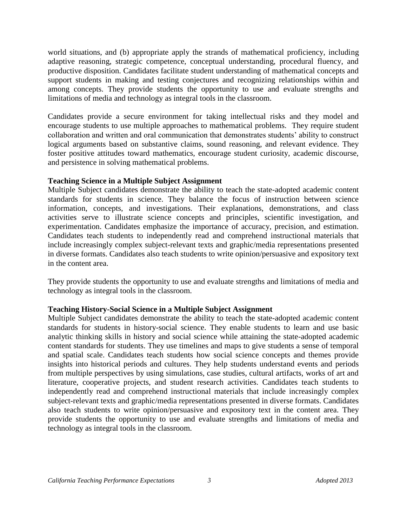world situations, and (b) appropriate apply the strands of mathematical proficiency, including adaptive reasoning, strategic competence, conceptual understanding, procedural fluency, and productive disposition. Candidates facilitate student understanding of mathematical concepts and support students in making and testing conjectures and recognizing relationships within and among concepts. They provide students the opportunity to use and evaluate strengths and limitations of media and technology as integral tools in the classroom.

Candidates provide a secure environment for taking intellectual risks and they model and encourage students to use multiple approaches to mathematical problems. They require student collaboration and written and oral communication that demonstrates students' ability to construct logical arguments based on substantive claims, sound reasoning, and relevant evidence. They foster positive attitudes toward mathematics, encourage student curiosity, academic discourse, and persistence in solving mathematical problems.

# **Teaching Science in a Multiple Subject Assignment**

Multiple Subject candidates demonstrate the ability to teach the state-adopted academic content standards for students in science. They balance the focus of instruction between science information, concepts, and investigations. Their explanations, demonstrations, and class activities serve to illustrate science concepts and principles, scientific investigation, and experimentation. Candidates emphasize the importance of accuracy, precision, and estimation. Candidates teach students to independently read and comprehend instructional materials that include increasingly complex subject-relevant texts and graphic/media representations presented in diverse formats. Candidates also teach students to write opinion/persuasive and expository text in the content area.

They provide students the opportunity to use and evaluate strengths and limitations of media and technology as integral tools in the classroom.

# **Teaching History-Social Science in a Multiple Subject Assignment**

Multiple Subject candidates demonstrate the ability to teach the state-adopted academic content standards for students in history-social science. They enable students to learn and use basic analytic thinking skills in history and social science while attaining the state-adopted academic content standards for students. They use timelines and maps to give students a sense of temporal and spatial scale. Candidates teach students how social science concepts and themes provide insights into historical periods and cultures. They help students understand events and periods from multiple perspectives by using simulations, case studies, cultural artifacts, works of art and literature, cooperative projects, and student research activities. Candidates teach students to independently read and comprehend instructional materials that include increasingly complex subject-relevant texts and graphic/media representations presented in diverse formats. Candidates also teach students to write opinion/persuasive and expository text in the content area. They provide students the opportunity to use and evaluate strengths and limitations of media and technology as integral tools in the classroom.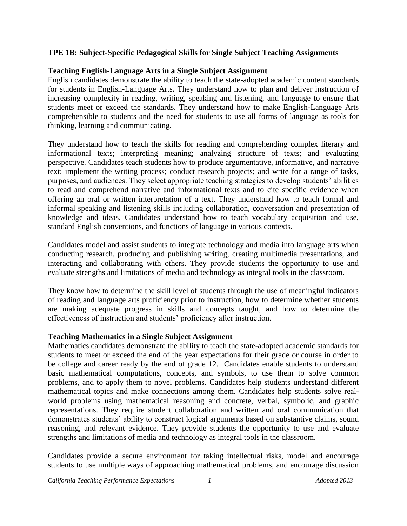# **TPE 1B: Subject-Specific Pedagogical Skills for Single Subject Teaching Assignments**

# **Teaching English-Language Arts in a Single Subject Assignment**

English candidates demonstrate the ability to teach the state-adopted academic content standards for students in English-Language Arts. They understand how to plan and deliver instruction of increasing complexity in reading, writing, speaking and listening, and language to ensure that students meet or exceed the standards. They understand how to make English-Language Arts comprehensible to students and the need for students to use all forms of language as tools for thinking, learning and communicating.

They understand how to teach the skills for reading and comprehending complex literary and informational texts; interpreting meaning; analyzing structure of texts; and evaluating perspective. Candidates teach students how to produce argumentative, informative, and narrative text; implement the writing process; conduct research projects; and write for a range of tasks, purposes, and audiences. They select appropriate teaching strategies to develop students' abilities to read and comprehend narrative and informational texts and to cite specific evidence when offering an oral or written interpretation of a text. They understand how to teach formal and informal speaking and listening skills including collaboration, conversation and presentation of knowledge and ideas. Candidates understand how to teach vocabulary acquisition and use, standard English conventions, and functions of language in various contexts.

Candidates model and assist students to integrate technology and media into language arts when conducting research, producing and publishing writing, creating multimedia presentations, and interacting and collaborating with others. They provide students the opportunity to use and evaluate strengths and limitations of media and technology as integral tools in the classroom.

They know how to determine the skill level of students through the use of meaningful indicators of reading and language arts proficiency prior to instruction, how to determine whether students are making adequate progress in skills and concepts taught, and how to determine the effectiveness of instruction and students' proficiency after instruction.

# **Teaching Mathematics in a Single Subject Assignment**

Mathematics candidates demonstrate the ability to teach the state-adopted academic standards for students to meet or exceed the end of the year expectations for their grade or course in order to be college and career ready by the end of grade 12. Candidates enable students to understand basic mathematical computations, concepts, and symbols, to use them to solve common problems, and to apply them to novel problems. Candidates help students understand different mathematical topics and make connections among them. Candidates help students solve realworld problems using mathematical reasoning and concrete, verbal, symbolic, and graphic representations. They require student collaboration and written and oral communication that demonstrates students' ability to construct logical arguments based on substantive claims, sound reasoning, and relevant evidence. They provide students the opportunity to use and evaluate strengths and limitations of media and technology as integral tools in the classroom.

Candidates provide a secure environment for taking intellectual risks, model and encourage students to use multiple ways of approaching mathematical problems, and encourage discussion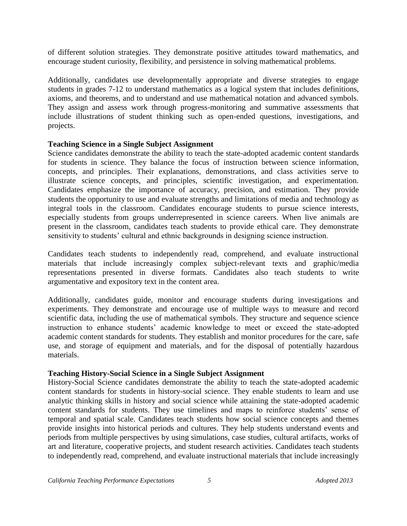of different solution strategies. They demonstrate positive attitudes toward mathematics, and encourage student curiosity, flexibility, and persistence in solving mathematical problems.

Additionally, candidates use developmentally appropriate and diverse strategies to engage students in grades 7-12 to understand mathematics as a logical system that includes definitions, axioms, and theorems, and to understand and use mathematical notation and advanced symbols. They assign and assess work through progress-monitoring and summative assessments that include illustrations of student thinking such as open-ended questions, investigations, and projects.

# **Teaching Science in a Single Subject Assignment**

Science candidates demonstrate the ability to teach the state-adopted academic content standards for students in science. They balance the focus of instruction between science information, concepts, and principles. Their explanations, demonstrations, and class activities serve to illustrate science concepts, and principles, scientific investigation, and experimentation. Candidates emphasize the importance of accuracy, precision, and estimation. They provide students the opportunity to use and evaluate strengths and limitations of media and technology as integral tools in the classroom. Candidates encourage students to pursue science interests, especially students from groups underrepresented in science careers. When live animals are present in the classroom, candidates teach students to provide ethical care. They demonstrate sensitivity to students' cultural and ethnic backgrounds in designing science instruction.

Candidates teach students to independently read, comprehend, and evaluate instructional materials that include increasingly complex subject-relevant texts and graphic/media representations presented in diverse formats. Candidates also teach students to write argumentative and expository text in the content area.

Additionally, candidates guide, monitor and encourage students during investigations and experiments. They demonstrate and encourage use of multiple ways to measure and record scientific data, including the use of mathematical symbols. They structure and sequence science instruction to enhance students' academic knowledge to meet or exceed the state-adopted academic content standards for students. They establish and monitor procedures for the care, safe use, and storage of equipment and materials, and for the disposal of potentially hazardous materials.

# **Teaching History-Social Science in a Single Subject Assignment**

History-Social Science candidates demonstrate the ability to teach the state-adopted academic content standards for students in history-social science. They enable students to learn and use analytic thinking skills in history and social science while attaining the state-adopted academic content standards for students. They use timelines and maps to reinforce students' sense of temporal and spatial scale. Candidates teach students how social science concepts and themes provide insights into historical periods and cultures. They help students understand events and periods from multiple perspectives by using simulations, case studies, cultural artifacts, works of art and literature, cooperative projects, and student research activities. Candidates teach students to independently read, comprehend, and evaluate instructional materials that include increasingly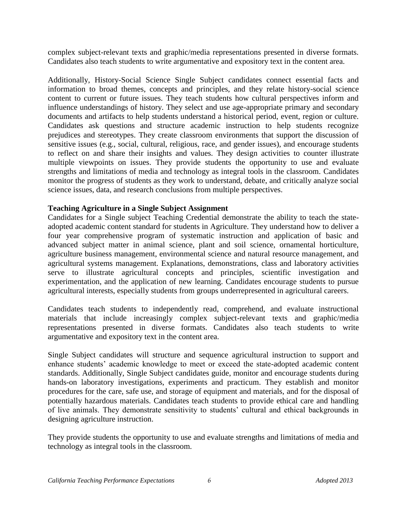complex subject-relevant texts and graphic/media representations presented in diverse formats. Candidates also teach students to write argumentative and expository text in the content area.

Additionally, History-Social Science Single Subject candidates connect essential facts and information to broad themes, concepts and principles, and they relate history-social science content to current or future issues. They teach students how cultural perspectives inform and influence understandings of history. They select and use age-appropriate primary and secondary documents and artifacts to help students understand a historical period, event, region or culture. Candidates ask questions and structure academic instruction to help students recognize prejudices and stereotypes. They create classroom environments that support the discussion of sensitive issues (e.g., social, cultural, religious, race, and gender issues), and encourage students to reflect on and share their insights and values. They design activities to counter illustrate multiple viewpoints on issues. They provide students the opportunity to use and evaluate strengths and limitations of media and technology as integral tools in the classroom. Candidates monitor the progress of students as they work to understand, debate, and critically analyze social science issues, data, and research conclusions from multiple perspectives.

# **Teaching Agriculture in a Single Subject Assignment**

Candidates for a Single subject Teaching Credential demonstrate the ability to teach the stateadopted academic content standard for students in Agriculture. They understand how to deliver a four year comprehensive program of systematic instruction and application of basic and advanced subject matter in animal science, plant and soil science, ornamental horticulture, agriculture business management, environmental science and natural resource management, and agricultural systems management. Explanations, demonstrations, class and laboratory activities serve to illustrate agricultural concepts and principles, scientific investigation and experimentation, and the application of new learning. Candidates encourage students to pursue agricultural interests, especially students from groups underrepresented in agricultural careers.

Candidates teach students to independently read, comprehend, and evaluate instructional materials that include increasingly complex subject-relevant texts and graphic/media representations presented in diverse formats. Candidates also teach students to write argumentative and expository text in the content area.

Single Subject candidates will structure and sequence agricultural instruction to support and enhance students' academic knowledge to meet or exceed the state-adopted academic content standards. Additionally, Single Subject candidates guide, monitor and encourage students during hands-on laboratory investigations, experiments and practicum. They establish and monitor procedures for the care, safe use, and storage of equipment and materials, and for the disposal of potentially hazardous materials. Candidates teach students to provide ethical care and handling of live animals. They demonstrate sensitivity to students' cultural and ethical backgrounds in designing agriculture instruction.

They provide students the opportunity to use and evaluate strengths and limitations of media and technology as integral tools in the classroom.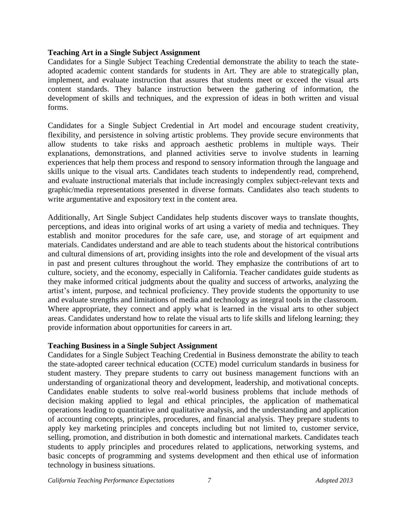### **Teaching Art in a Single Subject Assignment**

Candidates for a Single Subject Teaching Credential demonstrate the ability to teach the stateadopted academic content standards for students in Art. They are able to strategically plan, implement, and evaluate instruction that assures that students meet or exceed the visual arts content standards. They balance instruction between the gathering of information, the development of skills and techniques, and the expression of ideas in both written and visual forms.

Candidates for a Single Subject Credential in Art model and encourage student creativity, flexibility, and persistence in solving artistic problems. They provide secure environments that allow students to take risks and approach aesthetic problems in multiple ways. Their explanations, demonstrations, and planned activities serve to involve students in learning experiences that help them process and respond to sensory information through the language and skills unique to the visual arts. Candidates teach students to independently read, comprehend, and evaluate instructional materials that include increasingly complex subject-relevant texts and graphic/media representations presented in diverse formats. Candidates also teach students to write argumentative and expository text in the content area.

Additionally, Art Single Subject Candidates help students discover ways to translate thoughts, perceptions, and ideas into original works of art using a variety of media and techniques. They establish and monitor procedures for the safe care, use, and storage of art equipment and materials. Candidates understand and are able to teach students about the historical contributions and cultural dimensions of art, providing insights into the role and development of the visual arts in past and present cultures throughout the world. They emphasize the contributions of art to culture, society, and the economy, especially in California. Teacher candidates guide students as they make informed critical judgments about the quality and success of artworks, analyzing the artist's intent, purpose, and technical proficiency. They provide students the opportunity to use and evaluate strengths and limitations of media and technology as integral tools in the classroom. Where appropriate, they connect and apply what is learned in the visual arts to other subject areas. Candidates understand how to relate the visual arts to life skills and lifelong learning; they provide information about opportunities for careers in art.

# **Teaching Business in a Single Subject Assignment**

Candidates for a Single Subject Teaching Credential in Business demonstrate the ability to teach the state-adopted career technical education (CCTE) model curriculum standards in business for student mastery. They prepare students to carry out business management functions with an understanding of organizational theory and development, leadership, and motivational concepts. Candidates enable students to solve real-world business problems that include methods of decision making applied to legal and ethical principles, the application of mathematical operations leading to quantitative and qualitative analysis, and the understanding and application of accounting concepts, principles, procedures, and financial analysis. They prepare students to apply key marketing principles and concepts including but not limited to, customer service, selling, promotion, and distribution in both domestic and international markets. Candidates teach students to apply principles and procedures related to applications, networking systems, and basic concepts of programming and systems development and then ethical use of information technology in business situations.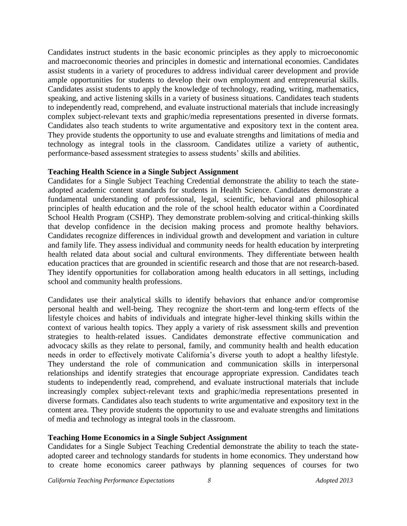Candidates instruct students in the basic economic principles as they apply to microeconomic and macroeconomic theories and principles in domestic and international economies. Candidates assist students in a variety of procedures to address individual career development and provide ample opportunities for students to develop their own employment and entrepreneurial skills. Candidates assist students to apply the knowledge of technology, reading, writing, mathematics, speaking, and active listening skills in a variety of business situations. Candidates teach students to independently read, comprehend, and evaluate instructional materials that include increasingly complex subject-relevant texts and graphic/media representations presented in diverse formats. Candidates also teach students to write argumentative and expository text in the content area. They provide students the opportunity to use and evaluate strengths and limitations of media and technology as integral tools in the classroom. Candidates utilize a variety of authentic, performance-based assessment strategies to assess students' skills and abilities.

# **Teaching Health Science in a Single Subject Assignment**

Candidates for a Single Subject Teaching Credential demonstrate the ability to teach the stateadopted academic content standards for students in Health Science. Candidates demonstrate a fundamental understanding of professional, legal, scientific, behavioral and philosophical principles of health education and the role of the school health educator within a Coordinated School Health Program (CSHP). They demonstrate problem-solving and critical-thinking skills that develop confidence in the decision making process and promote healthy behaviors. Candidates recognize differences in individual growth and development and variation in culture and family life. They assess individual and community needs for health education by interpreting health related data about social and cultural environments. They differentiate between health education practices that are grounded in scientific research and those that are not research-based. They identify opportunities for collaboration among health educators in all settings, including school and community health professions.

Candidates use their analytical skills to identify behaviors that enhance and/or compromise personal health and well-being. They recognize the short-term and long-term effects of the lifestyle choices and habits of individuals and integrate higher-level thinking skills within the context of various health topics. They apply a variety of risk assessment skills and prevention strategies to health-related issues. Candidates demonstrate effective communication and advocacy skills as they relate to personal, family, and community health and health education needs in order to effectively motivate California's diverse youth to adopt a healthy lifestyle. They understand the role of communication and communication skills in interpersonal relationships and identify strategies that encourage appropriate expression. Candidates teach students to independently read, comprehend, and evaluate instructional materials that include increasingly complex subject-relevant texts and graphic/media representations presented in diverse formats. Candidates also teach students to write argumentative and expository text in the content area. They provide students the opportunity to use and evaluate strengths and limitations of media and technology as integral tools in the classroom.

# **Teaching Home Economics in a Single Subject Assignment**

Candidates for a Single Subject Teaching Credential demonstrate the ability to teach the stateadopted career and technology standards for students in home economics. They understand how to create home economics career pathways by planning sequences of courses for two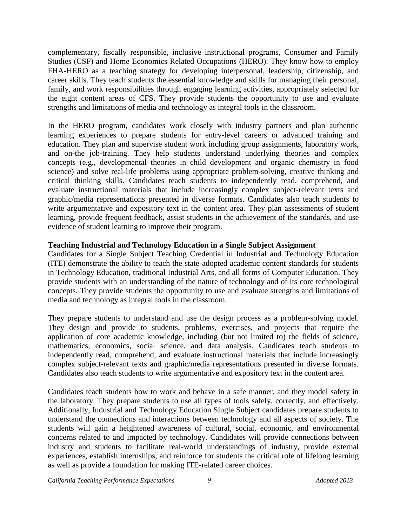complementary, fiscally responsible, inclusive instructional programs, Consumer and Family Studies (CSF) and Home Economics Related Occupations (HERO). They know how to employ FHA-HERO as a teaching strategy for developing interpersonal, leadership, citizenship, and career skills. They teach students the essential knowledge and skills for managing their personal, family, and work responsibilities through engaging learning activities, appropriately selected for the eight content areas of CFS. They provide students the opportunity to use and evaluate strengths and limitations of media and technology as integral tools in the classroom.

In the HERO program, candidates work closely with industry partners and plan authentic learning experiences to prepare students for entry-level careers or advanced training and education. They plan and supervise student work including group assignments, laboratory work, and on-the job-training. They help students understand underlying theories and complex concepts (e.g., developmental theories in child development and organic chemistry in food science) and solve real-life problems using appropriate problem-solving, creative thinking and critical thinking skills. Candidates teach students to independently read, comprehend, and evaluate instructional materials that include increasingly complex subject-relevant texts and graphic/media representations presented in diverse formats. Candidates also teach students to write argumentative and expository text in the content area. They plan assessments of student learning, provide frequent feedback, assist students in the achievement of the standards, and use evidence of student learning to improve their program.

# **Teaching Industrial and Technology Education in a Single Subject Assignment**

Candidates for a Single Subject Teaching Credential in Industrial and Technology Education (ITE) demonstrate the ability to teach the state-adopted academic content standards for students in Technology Education, traditional Industrial Arts, and all forms of Computer Education. They provide students with an understanding of the nature of technology and of its core technological concepts. They provide students the opportunity to use and evaluate strengths and limitations of media and technology as integral tools in the classroom.

They prepare students to understand and use the design process as a problem-solving model. They design and provide to students, problems, exercises, and projects that require the application of core academic knowledge, including (but not limited to) the fields of science, mathematics, economics, social science, and data analysis. Candidates teach students to independently read, comprehend, and evaluate instructional materials that include increasingly complex subject-relevant texts and graphic/media representations presented in diverse formats. Candidates also teach students to write argumentative and expository text in the content area.

Candidates teach students how to work and behave in a safe manner, and they model safety in the laboratory. They prepare students to use all types of tools safely, correctly, and effectively. Additionally, Industrial and Technology Education Single Subject candidates prepare students to understand the connections and interactions between technology and all aspects of society. The students will gain a heightened awareness of cultural, social, economic, and environmental concerns related to and impacted by technology. Candidates will provide connections between industry and students to facilitate real-world understandings of industry, provide external experiences, establish internships, and reinforce for students the critical role of lifelong learning as well as provide a foundation for making ITE-related career choices.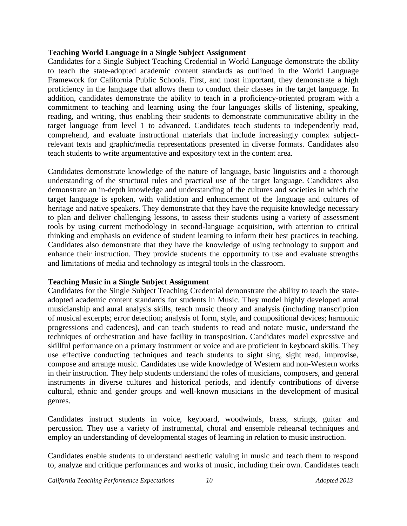#### **Teaching World Language in a Single Subject Assignment**

Candidates for a Single Subject Teaching Credential in World Language demonstrate the ability to teach the state-adopted academic content standards as outlined in the World Language Framework for California Public Schools. First, and most important, they demonstrate a high proficiency in the language that allows them to conduct their classes in the target language. In addition, candidates demonstrate the ability to teach in a proficiency-oriented program with a commitment to teaching and learning using the four languages skills of listening, speaking, reading, and writing, thus enabling their students to demonstrate communicative ability in the target language from level 1 to advanced. Candidates teach students to independently read, comprehend, and evaluate instructional materials that include increasingly complex subjectrelevant texts and graphic/media representations presented in diverse formats. Candidates also teach students to write argumentative and expository text in the content area.

Candidates demonstrate knowledge of the nature of language, basic linguistics and a thorough understanding of the structural rules and practical use of the target language. Candidates also demonstrate an in-depth knowledge and understanding of the cultures and societies in which the target language is spoken, with validation and enhancement of the language and cultures of heritage and native speakers. They demonstrate that they have the requisite knowledge necessary to plan and deliver challenging lessons, to assess their students using a variety of assessment tools by using current methodology in second-language acquisition, with attention to critical thinking and emphasis on evidence of student learning to inform their best practices in teaching. Candidates also demonstrate that they have the knowledge of using technology to support and enhance their instruction. They provide students the opportunity to use and evaluate strengths and limitations of media and technology as integral tools in the classroom.

# **Teaching Music in a Single Subject Assignment**

Candidates for the Single Subject Teaching Credential demonstrate the ability to teach the stateadopted academic content standards for students in Music. They model highly developed aural musicianship and aural analysis skills, teach music theory and analysis (including transcription of musical excerpts; error detection; analysis of form, style, and compositional devices; harmonic progressions and cadences), and can teach students to read and notate music, understand the techniques of orchestration and have facility in transposition. Candidates model expressive and skillful performance on a primary instrument or voice and are proficient in keyboard skills. They use effective conducting techniques and teach students to sight sing, sight read, improvise, compose and arrange music. Candidates use wide knowledge of Western and non-Western works in their instruction. They help students understand the roles of musicians, composers, and general instruments in diverse cultures and historical periods, and identify contributions of diverse cultural, ethnic and gender groups and well-known musicians in the development of musical genres.

Candidates instruct students in voice, keyboard, woodwinds, brass, strings, guitar and percussion. They use a variety of instrumental, choral and ensemble rehearsal techniques and employ an understanding of developmental stages of learning in relation to music instruction.

Candidates enable students to understand aesthetic valuing in music and teach them to respond to, analyze and critique performances and works of music, including their own. Candidates teach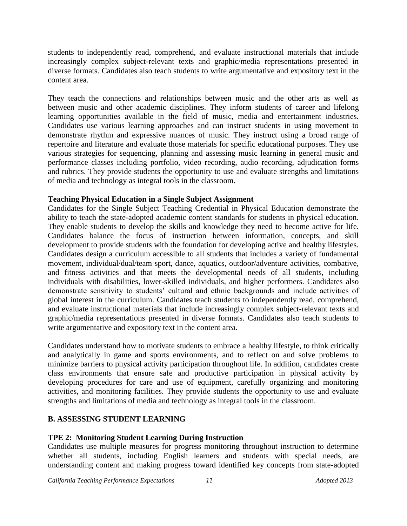students to independently read, comprehend, and evaluate instructional materials that include increasingly complex subject-relevant texts and graphic/media representations presented in diverse formats. Candidates also teach students to write argumentative and expository text in the content area.

They teach the connections and relationships between music and the other arts as well as between music and other academic disciplines. They inform students of career and lifelong learning opportunities available in the field of music, media and entertainment industries. Candidates use various learning approaches and can instruct students in using movement to demonstrate rhythm and expressive nuances of music. They instruct using a broad range of repertoire and literature and evaluate those materials for specific educational purposes. They use various strategies for sequencing, planning and assessing music learning in general music and performance classes including portfolio, video recording, audio recording, adjudication forms and rubrics. They provide students the opportunity to use and evaluate strengths and limitations of media and technology as integral tools in the classroom.

# **Teaching Physical Education in a Single Subject Assignment**

Candidates for the Single Subject Teaching Credential in Physical Education demonstrate the ability to teach the state-adopted academic content standards for students in physical education. They enable students to develop the skills and knowledge they need to become active for life. Candidates balance the focus of instruction between information, concepts, and skill development to provide students with the foundation for developing active and healthy lifestyles. Candidates design a curriculum accessible to all students that includes a variety of fundamental movement, individual/dual/team sport, dance, aquatics, outdoor/adventure activities, combative, and fitness activities and that meets the developmental needs of all students, including individuals with disabilities, lower-skilled individuals, and higher performers. Candidates also demonstrate sensitivity to students' cultural and ethnic backgrounds and include activities of global interest in the curriculum. Candidates teach students to independently read, comprehend, and evaluate instructional materials that include increasingly complex subject-relevant texts and graphic/media representations presented in diverse formats. Candidates also teach students to write argumentative and expository text in the content area.

Candidates understand how to motivate students to embrace a healthy lifestyle, to think critically and analytically in game and sports environments, and to reflect on and solve problems to minimize barriers to physical activity participation throughout life. In addition, candidates create class environments that ensure safe and productive participation in physical activity by developing procedures for care and use of equipment, carefully organizing and monitoring activities, and monitoring facilities. They provide students the opportunity to use and evaluate strengths and limitations of media and technology as integral tools in the classroom.

# **B. ASSESSING STUDENT LEARNING**

# **TPE 2: Monitoring Student Learning During Instruction**

Candidates use multiple measures for progress monitoring throughout instruction to determine whether all students, including English learners and students with special needs, are understanding content and making progress toward identified key concepts from state-adopted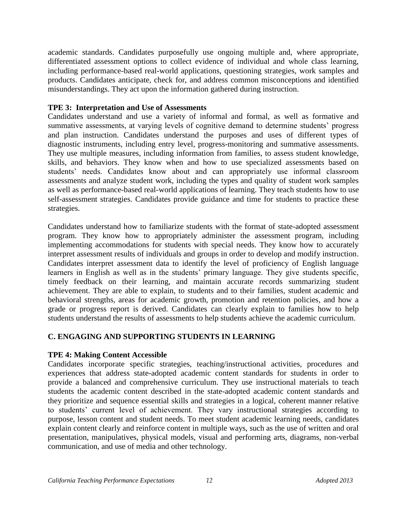academic standards. Candidates purposefully use ongoing multiple and, where appropriate, differentiated assessment options to collect evidence of individual and whole class learning, including performance-based real-world applications, questioning strategies, work samples and products. Candidates anticipate, check for, and address common misconceptions and identified misunderstandings. They act upon the information gathered during instruction.

# **TPE 3: Interpretation and Use of Assessments**

Candidates understand and use a variety of informal and formal, as well as formative and summative assessments, at varying levels of cognitive demand to determine students' progress and plan instruction. Candidates understand the purposes and uses of different types of diagnostic instruments, including entry level, progress-monitoring and summative assessments. They use multiple measures, including information from families, to assess student knowledge, skills, and behaviors. They know when and how to use specialized assessments based on students' needs. Candidates know about and can appropriately use informal classroom assessments and analyze student work, including the types and quality of student work samples as well as performance-based real-world applications of learning. They teach students how to use self-assessment strategies. Candidates provide guidance and time for students to practice these strategies.

Candidates understand how to familiarize students with the format of state-adopted assessment program. They know how to appropriately administer the assessment program, including implementing accommodations for students with special needs. They know how to accurately interpret assessment results of individuals and groups in order to develop and modify instruction. Candidates interpret assessment data to identify the level of proficiency of English language learners in English as well as in the students' primary language. They give students specific, timely feedback on their learning, and maintain accurate records summarizing student achievement. They are able to explain, to students and to their families, student academic and behavioral strengths, areas for academic growth, promotion and retention policies, and how a grade or progress report is derived. Candidates can clearly explain to families how to help students understand the results of assessments to help students achieve the academic curriculum.

# **C. ENGAGING AND SUPPORTING STUDENTS IN LEARNING**

# **TPE 4: Making Content Accessible**

Candidates incorporate specific strategies, teaching/instructional activities, procedures and experiences that address state-adopted academic content standards for students in order to provide a balanced and comprehensive curriculum. They use instructional materials to teach students the academic content described in the state-adopted academic content standards and they prioritize and sequence essential skills and strategies in a logical, coherent manner relative to students' current level of achievement. They vary instructional strategies according to purpose, lesson content and student needs. To meet student academic learning needs, candidates explain content clearly and reinforce content in multiple ways, such as the use of written and oral presentation, manipulatives, physical models, visual and performing arts, diagrams, non-verbal communication, and use of media and other technology.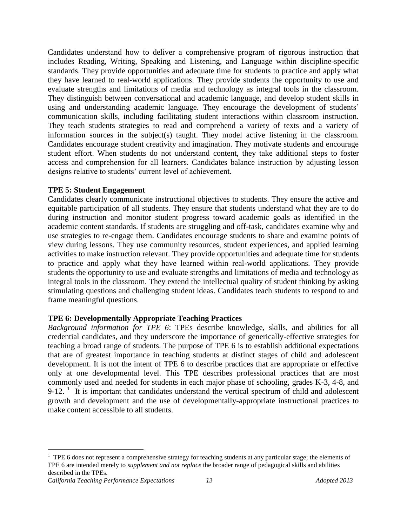Candidates understand how to deliver a comprehensive program of rigorous instruction that includes Reading, Writing, Speaking and Listening, and Language within discipline-specific standards. They provide opportunities and adequate time for students to practice and apply what they have learned to real-world applications. They provide students the opportunity to use and evaluate strengths and limitations of media and technology as integral tools in the classroom. They distinguish between conversational and academic language, and develop student skills in using and understanding academic language. They encourage the development of students' communication skills, including facilitating student interactions within classroom instruction. They teach students strategies to read and comprehend a variety of texts and a variety of information sources in the subject(s) taught. They model active listening in the classroom. Candidates encourage student creativity and imagination. They motivate students and encourage student effort. When students do not understand content, they take additional steps to foster access and comprehension for all learners. Candidates balance instruction by adjusting lesson designs relative to students' current level of achievement.

# **TPE 5: Student Engagement**

Candidates clearly communicate instructional objectives to students. They ensure the active and equitable participation of all students. They ensure that students understand what they are to do during instruction and monitor student progress toward academic goals as identified in the academic content standards. If students are struggling and off-task, candidates examine why and use strategies to re-engage them. Candidates encourage students to share and examine points of view during lessons. They use community resources, student experiences, and applied learning activities to make instruction relevant. They provide opportunities and adequate time for students to practice and apply what they have learned within real-world applications. They provide students the opportunity to use and evaluate strengths and limitations of media and technology as integral tools in the classroom. They extend the intellectual quality of student thinking by asking stimulating questions and challenging student ideas. Candidates teach students to respond to and frame meaningful questions.

# **TPE 6: Developmentally Appropriate Teaching Practices**

*Background information for TPE 6*: TPEs describe knowledge, skills, and abilities for all credential candidates, and they underscore the importance of generically-effective strategies for teaching a broad range of students. The purpose of TPE 6 is to establish additional expectations that are of greatest importance in teaching students at distinct stages of child and adolescent development. It is not the intent of TPE 6 to describe practices that are appropriate or effective only at one developmental level. This TPE describes professional practices that are most commonly used and needed for students in each major phase of schooling, grades K-3, 4-8, and  $9-12$ . <sup>1</sup> It is important that candidates understand the vertical spectrum of child and adolescent growth and development and the use of developmentally-appropriate instructional practices to make content accessible to all students.

 $\overline{a}$ 

 $1$  TPE 6 does not represent a comprehensive strategy for teaching students at any particular stage; the elements of TPE 6 are intended merely to *supplement and not replace* the broader range of pedagogical skills and abilities described in the TPEs.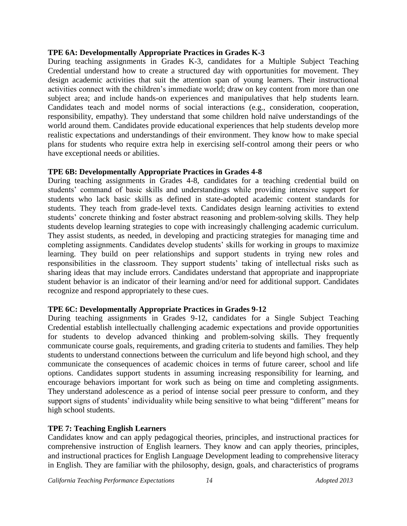# **TPE 6A: Developmentally Appropriate Practices in Grades K-3**

During teaching assignments in Grades K-3, candidates for a Multiple Subject Teaching Credential understand how to create a structured day with opportunities for movement. They design academic activities that suit the attention span of young learners. Their instructional activities connect with the children's immediate world; draw on key content from more than one subject area; and include hands-on experiences and manipulatives that help students learn. Candidates teach and model norms of social interactions (e.g., consideration, cooperation, responsibility, empathy). They understand that some children hold naïve understandings of the world around them. Candidates provide educational experiences that help students develop more realistic expectations and understandings of their environment. They know how to make special plans for students who require extra help in exercising self-control among their peers or who have exceptional needs or abilities.

# **TPE 6B: Developmentally Appropriate Practices in Grades 4-8**

During teaching assignments in Grades 4-8, candidates for a teaching credential build on students' command of basic skills and understandings while providing intensive support for students who lack basic skills as defined in state-adopted academic content standards for students. They teach from grade-level texts. Candidates design learning activities to extend students' concrete thinking and foster abstract reasoning and problem-solving skills. They help students develop learning strategies to cope with increasingly challenging academic curriculum. They assist students, as needed, in developing and practicing strategies for managing time and completing assignments. Candidates develop students' skills for working in groups to maximize learning. They build on peer relationships and support students in trying new roles and responsibilities in the classroom. They support students' taking of intellectual risks such as sharing ideas that may include errors. Candidates understand that appropriate and inappropriate student behavior is an indicator of their learning and/or need for additional support. Candidates recognize and respond appropriately to these cues.

# **TPE 6C: Developmentally Appropriate Practices in Grades 9-12**

During teaching assignments in Grades 9-12, candidates for a Single Subject Teaching Credential establish intellectually challenging academic expectations and provide opportunities for students to develop advanced thinking and problem-solving skills. They frequently communicate course goals, requirements, and grading criteria to students and families. They help students to understand connections between the curriculum and life beyond high school, and they communicate the consequences of academic choices in terms of future career, school and life options. Candidates support students in assuming increasing responsibility for learning, and encourage behaviors important for work such as being on time and completing assignments. They understand adolescence as a period of intense social peer pressure to conform, and they support signs of students' individuality while being sensitive to what being "different" means for high school students.

# **TPE 7: Teaching English Learners**

Candidates know and can apply pedagogical theories, principles, and instructional practices for comprehensive instruction of English learners. They know and can apply theories, principles, and instructional practices for English Language Development leading to comprehensive literacy in English. They are familiar with the philosophy, design, goals, and characteristics of programs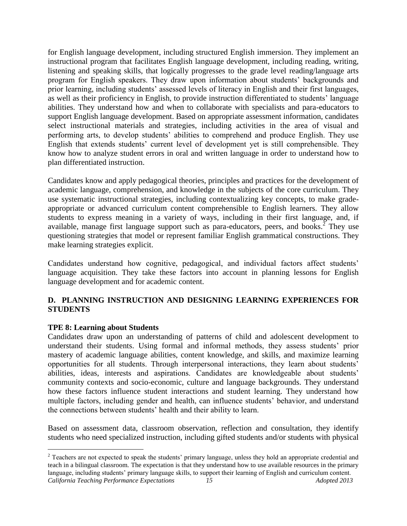for English language development, including structured English immersion. They implement an instructional program that facilitates English language development, including reading, writing, listening and speaking skills, that logically progresses to the grade level reading/language arts program for English speakers. They draw upon information about students' backgrounds and prior learning, including students' assessed levels of literacy in English and their first languages, as well as their proficiency in English, to provide instruction differentiated to students' language abilities. They understand how and when to collaborate with specialists and para-educators to support English language development. Based on appropriate assessment information, candidates select instructional materials and strategies, including activities in the area of visual and performing arts, to develop students' abilities to comprehend and produce English. They use English that extends students' current level of development yet is still comprehensible. They know how to analyze student errors in oral and written language in order to understand how to plan differentiated instruction.

Candidates know and apply pedagogical theories, principles and practices for the development of academic language, comprehension, and knowledge in the subjects of the core curriculum. They use systematic instructional strategies, including contextualizing key concepts, to make gradeappropriate or advanced curriculum content comprehensible to English learners. They allow students to express meaning in a variety of ways, including in their first language, and, if available, manage first language support such as para-educators, peers, and books.<sup>2</sup> They use questioning strategies that model or represent familiar English grammatical constructions. They make learning strategies explicit.

Candidates understand how cognitive, pedagogical, and individual factors affect students' language acquisition. They take these factors into account in planning lessons for English language development and for academic content.

# **D. PLANNING INSTRUCTION AND DESIGNING LEARNING EXPERIENCES FOR STUDENTS**

# **TPE 8: Learning about Students**

 $\overline{a}$ 

Candidates draw upon an understanding of patterns of child and adolescent development to understand their students. Using formal and informal methods, they assess students' prior mastery of academic language abilities, content knowledge, and skills, and maximize learning opportunities for all students. Through interpersonal interactions, they learn about students' abilities, ideas, interests and aspirations. Candidates are knowledgeable about students' community contexts and socio-economic, culture and language backgrounds. They understand how these factors influence student interactions and student learning. They understand how multiple factors, including gender and health, can influence students' behavior, and understand the connections between students' health and their ability to learn.

Based on assessment data, classroom observation, reflection and consultation, they identify students who need specialized instruction, including gifted students and/or students with physical

*California Teaching Performance Expectations 15 Adopted 2013* <sup>2</sup> Teachers are not expected to speak the students' primary language, unless they hold an appropriate credential and teach in a bilingual classroom. The expectation is that they understand how to use available resources in the primary language, including students' primary language skills, to support their learning of English and curriculum content.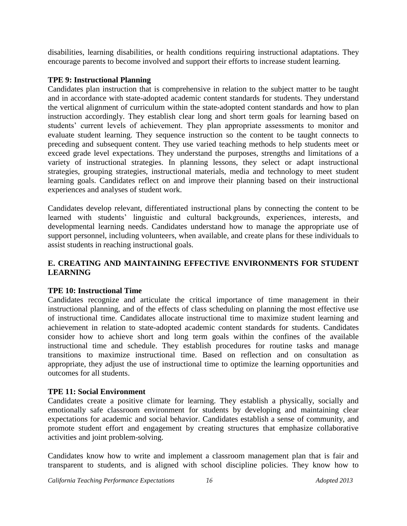disabilities, learning disabilities, or health conditions requiring instructional adaptations. They encourage parents to become involved and support their efforts to increase student learning.

# **TPE 9: Instructional Planning**

Candidates plan instruction that is comprehensive in relation to the subject matter to be taught and in accordance with state-adopted academic content standards for students. They understand the vertical alignment of curriculum within the state-adopted content standards and how to plan instruction accordingly. They establish clear long and short term goals for learning based on students' current levels of achievement. They plan appropriate assessments to monitor and evaluate student learning. They sequence instruction so the content to be taught connects to preceding and subsequent content. They use varied teaching methods to help students meet or exceed grade level expectations. They understand the purposes, strengths and limitations of a variety of instructional strategies. In planning lessons, they select or adapt instructional strategies, grouping strategies, instructional materials, media and technology to meet student learning goals. Candidates reflect on and improve their planning based on their instructional experiences and analyses of student work.

Candidates develop relevant, differentiated instructional plans by connecting the content to be learned with students' linguistic and cultural backgrounds, experiences, interests, and developmental learning needs. Candidates understand how to manage the appropriate use of support personnel, including volunteers, when available, and create plans for these individuals to assist students in reaching instructional goals.

# **E. CREATING AND MAINTAINING EFFECTIVE ENVIRONMENTS FOR STUDENT LEARNING**

# **TPE 10: Instructional Time**

Candidates recognize and articulate the critical importance of time management in their instructional planning, and of the effects of class scheduling on planning the most effective use of instructional time. Candidates allocate instructional time to maximize student learning and achievement in relation to state-adopted academic content standards for students. Candidates consider how to achieve short and long term goals within the confines of the available instructional time and schedule. They establish procedures for routine tasks and manage transitions to maximize instructional time. Based on reflection and on consultation as appropriate, they adjust the use of instructional time to optimize the learning opportunities and outcomes for all students.

# **TPE 11: Social Environment**

Candidates create a positive climate for learning. They establish a physically, socially and emotionally safe classroom environment for students by developing and maintaining clear expectations for academic and social behavior. Candidates establish a sense of community, and promote student effort and engagement by creating structures that emphasize collaborative activities and joint problem-solving.

Candidates know how to write and implement a classroom management plan that is fair and transparent to students, and is aligned with school discipline policies. They know how to